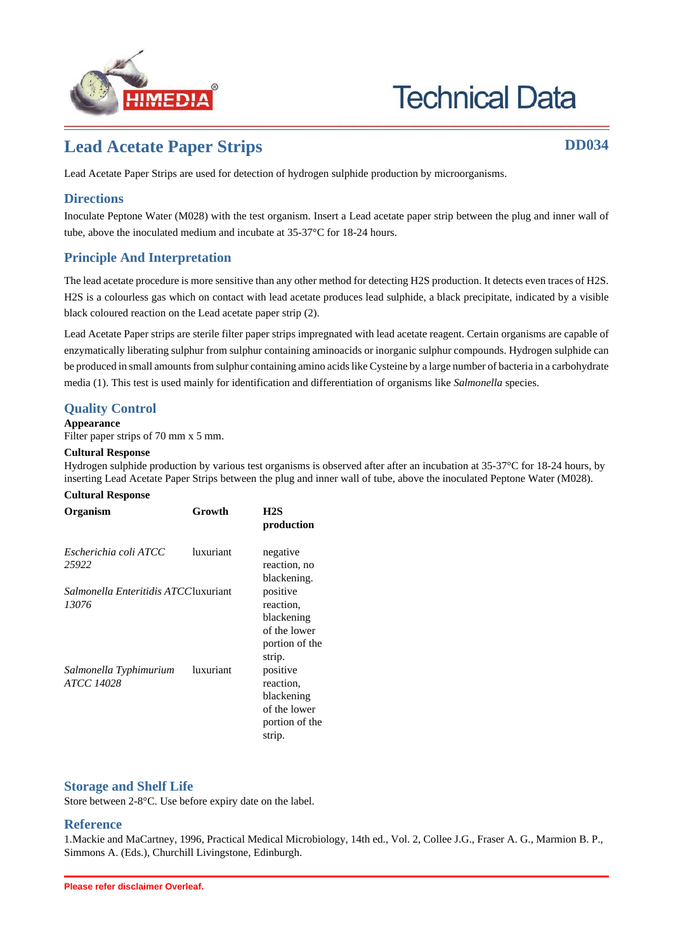

# **Technical Data**

## **Lead Acetate Paper Strips DD034**

Lead Acetate Paper Strips are used for detection of hydrogen sulphide production by microorganisms.

#### **Directions**

Inoculate Peptone Water (M028) with the test organism. Insert a Lead acetate paper strip between the plug and inner wall of tube, above the inoculated medium and incubate at 35-37°C for 18-24 hours.

#### **Principle And Interpretation**

The lead acetate procedure is more sensitive than any other method for detecting H2S production. It detects even traces of H2S. H2S is a colourless gas which on contact with lead acetate produces lead sulphide, a black precipitate, indicated by a visible black coloured reaction on the Lead acetate paper strip (2).

Lead Acetate Paper strips are sterile filter paper strips impregnated with lead acetate reagent. Certain organisms are capable of enzymatically liberating sulphur from sulphur containing aminoacids or inorganic sulphur compounds. Hydrogen sulphide can be produced in small amounts from sulphur containing amino acids like Cysteine by a large number of bacteria in a carbohydrate media (1). This test is used mainly for identification and differentiation of organisms like *Salmonella* species.

#### **Quality Control**

**Appearance**

Filter paper strips of 70 mm x 5 mm.

#### **Cultural Response**

Hydrogen sulphide production by various test organisms is observed after after an incubation at 35-37°C for 18-24 hours, by inserting Lead Acetate Paper Strips between the plug and inner wall of tube, above the inoculated Peptone Water (M028).

#### **Cultural Response**

| Organism                                              | Growth    | H2S<br>production                                                               |
|-------------------------------------------------------|-----------|---------------------------------------------------------------------------------|
| Escherichia coli ATCC<br>25922                        | luxuriant | negative<br>reaction, no<br>blackening.                                         |
| <i>Salmonella Enteritidis ATCC</i> luxuriant<br>13076 |           | positive<br>reaction.<br>blackening<br>of the lower<br>portion of the<br>strip. |
| Salmonella Typhimurium<br>ATCC 14028                  | luxuriant | positive<br>reaction,<br>blackening<br>of the lower<br>portion of the<br>strip. |

#### **Storage and Shelf Life**

Store between 2-8°C. Use before expiry date on the label.

### **Reference**

1.Mackie and MaCartney, 1996, Practical Medical Microbiology, 14th ed., Vol. 2, Collee J.G., Fraser A. G., Marmion B. P., Simmons A. (Eds.), Churchill Livingstone, Edinburgh.